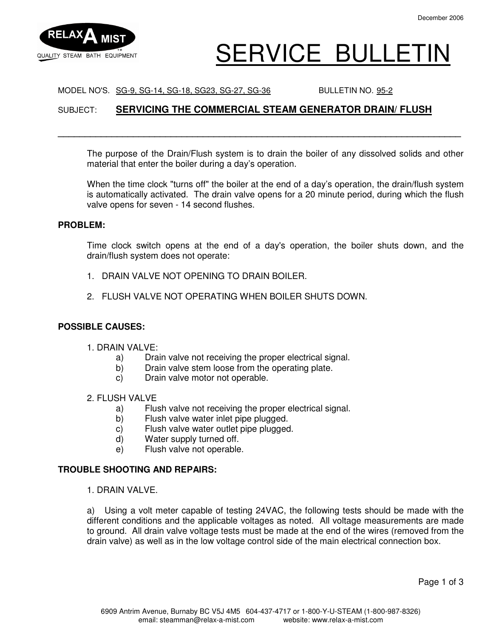

# QUALITY STEAM BATH EQUIPMENT SERVICE BULLETIN

#### MODEL NO'S. SG-9, SG-14, SG-18, SG23, SG-27, SG-36 BULLETIN NO. 95-2

## SUBJECT: **SERVICING THE COMMERCIAL STEAM GENERATOR DRAIN/ FLUSH**

**\_\_\_\_\_\_\_\_\_\_\_\_\_\_\_\_\_\_\_\_\_\_\_\_\_\_\_\_\_\_\_\_\_\_\_\_\_\_\_\_\_\_\_\_\_\_\_\_\_\_\_\_\_\_\_\_\_\_\_\_\_\_\_\_\_\_\_\_\_\_\_\_\_\_\_** 

 The purpose of the Drain/Flush system is to drain the boiler of any dissolved solids and other material that enter the boiler during a day's operation.

 When the time clock "turns off" the boiler at the end of a day's operation, the drain/flush system is automatically activated. The drain valve opens for a 20 minute period, during which the flush valve opens for seven - 14 second flushes.

#### **PROBLEM:**

Time clock switch opens at the end of a day's operation, the boiler shuts down, and the drain/flush system does not operate:

- 1. DRAIN VALVE NOT OPENING TO DRAIN BOILER.
- 2. FLUSH VALVE NOT OPERATING WHEN BOILER SHUTS DOWN.

#### **POSSIBLE CAUSES:**

- 1. DRAIN VALVE:
	- a) Drain valve not receiving the proper electrical signal.
	- b) Drain valve stem loose from the operating plate.
	- c) Drain valve motor not operable.
- 2. FLUSH VALVE
	- a) Flush valve not receiving the proper electrical signal.
	- b) Flush valve water inlet pipe plugged.
	- c) Flush valve water outlet pipe plugged.
	- d) Water supply turned off.
	- e) Flush valve not operable.

#### **TROUBLE SHOOTING AND REPAIRS:**

1. DRAIN VALVE.

 a) Using a volt meter capable of testing 24VAC, the following tests should be made with the different conditions and the applicable voltages as noted. All voltage measurements are made to ground. All drain valve voltage tests must be made at the end of the wires (removed from the drain valve) as well as in the low voltage control side of the main electrical connection box.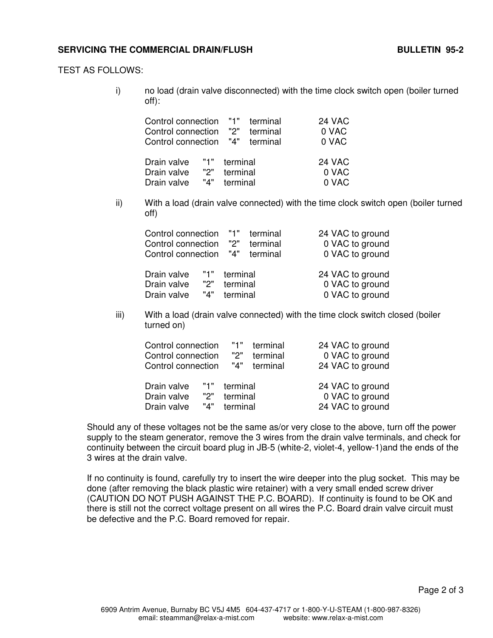#### **SERVICING THE COMMERCIAL DRAIN/FLUSH BULLETIN 95-2**

#### TEST AS FOLLOWS:

 i) no load (drain valve disconnected) with the time clock switch open (boiler turned off):

| Control connection "1" terminal<br>Control connection "2" terminal<br>Control connection "4" terminal |  |  | 24 VAC<br>0 VAC<br>0 VAC |
|-------------------------------------------------------------------------------------------------------|--|--|--------------------------|
| Drain valve "1" terminal                                                                              |  |  | 24 VAC                   |
| Drain valve "2" terminal                                                                              |  |  | 0 VAC                    |
| Drain valve "4" terminal                                                                              |  |  | 0 VAC                    |

 ii) With a load (drain valve connected) with the time clock switch open (boiler turned off)

| Control connection "1"<br>Control connection "2"<br>Control connection "4" |            |                                      | terminal<br>terminal<br>terminal | 24 VAC to ground<br>0 VAC to ground<br>0 VAC to ground |
|----------------------------------------------------------------------------|------------|--------------------------------------|----------------------------------|--------------------------------------------------------|
| Drain valve<br>Drain valve<br>Drain valve                                  | "2"<br>"4" | "1" terminal<br>terminal<br>terminal |                                  | 24 VAC to ground<br>0 VAC to ground<br>0 VAC to ground |

 iii) With a load (drain valve connected) with the time clock switch closed (boiler turned on)

| Control connection<br>Control connection<br>Control connection |                             | "1"<br>"2"<br>"4"                | terminal<br>terminal<br>terminal | 24 VAC to ground<br>0 VAC to ground<br>24 VAC to ground |
|----------------------------------------------------------------|-----------------------------|----------------------------------|----------------------------------|---------------------------------------------------------|
| Drain valve<br>Drain valve<br>Drain valve                      | <b>11</b> "1"<br>"2"<br>"4" | terminal<br>terminal<br>terminal |                                  | 24 VAC to ground<br>0 VAC to ground<br>24 VAC to ground |

Should any of these voltages not be the same as/or very close to the above, turn off the power supply to the steam generator, remove the 3 wires from the drain valve terminals, and check for continuity between the circuit board plug in JB-5 (white-2, violet-4, yellow-1)and the ends of the 3 wires at the drain valve.

If no continuity is found, carefully try to insert the wire deeper into the plug socket. This may be done (after removing the black plastic wire retainer) with a very small ended screw driver (CAUTION DO NOT PUSH AGAINST THE P.C. BOARD). If continuity is found to be OK and there is still not the correct voltage present on all wires the P.C. Board drain valve circuit must be defective and the P.C. Board removed for repair.